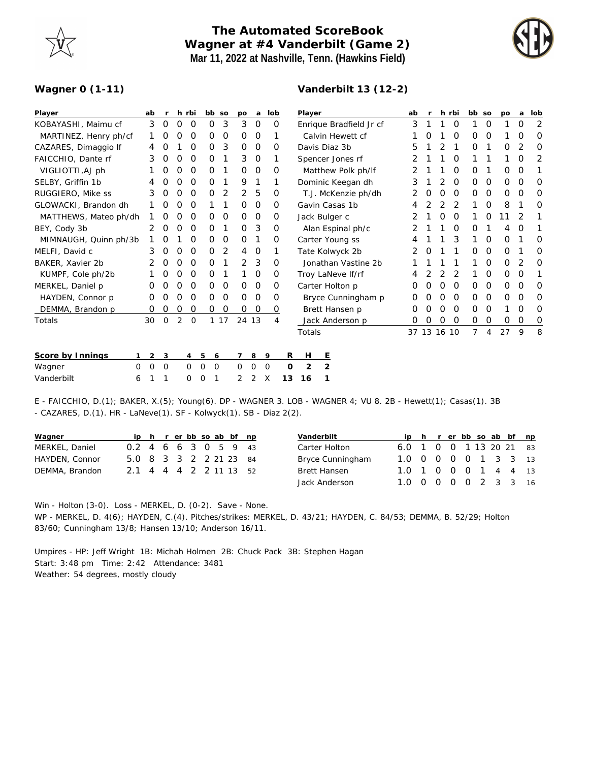## **The Automated ScoreBook Wagner at #4 Vanderbilt (Game 2) Mar 11, 2022 at Nashville, Tenn. (Hawkins Field)**

**Vanderbilt 13 (12-2)**



## **Wagner 0 (1-11)**

| Player                | ab | <b>r</b>            | h rbi |         |                     | bb so | po       | a       | lob |    | Player                  |                |                     |  | ab | $\mathsf{r}$ |   | h rbi    | bb so          |          | po | a        | lob      |
|-----------------------|----|---------------------|-------|---------|---------------------|-------|----------|---------|-----|----|-------------------------|----------------|---------------------|--|----|--------------|---|----------|----------------|----------|----|----------|----------|
| KOBAYASHI, Maimu cf   |    | 3<br>0              | O     | 0       | 0                   | 3     | 3        | 0       |     | 0  | Enrique Bradfield Jr cf |                |                     |  | 3  |              |   | O        |                | 0        |    | 0        | 2        |
| MARTINEZ, Henry ph/cf |    | 0                   | Ο     | O       | O                   | 0     | 0        | 0       |     |    | Calvin Hewett cf        |                |                     |  |    | Ο            |   | O        | O              | O        |    | O        | 0        |
| CAZARES, Dimaggio If  |    | O<br>4              |       | 0       | 0                   | 3     | 0        | 0       |     | O  | Davis Diaz 3b           |                |                     |  | 5  |              |   |          | O              |          | O  | 2        | O        |
| FAICCHIO, Dante rf    |    | 3<br>0              | 0     | 0       | 0                   | 1     | 3        | $\circ$ |     | 1  | Spencer Jones rf        |                |                     |  | 2  |              |   | 0        |                |          |    | O        | 2        |
| VIGLIOTTI, AJ ph      |    | O                   | O     | O       | 0                   |       | 0        | $\circ$ |     | O  | Matthew Polk ph/lf      |                |                     |  | 2  |              |   | O        | 0              |          | 0  | 0        |          |
| SELBY, Griffin 1b     |    | O<br>4              | O     | O       | 0                   |       | 9        | 1       |     | 1  |                         |                | Dominic Keegan dh   |  | 3  |              | 2 | 0        | 0              | 0        | 0  | 0        | O        |
| RUGGIERO, Mike ss     |    | 3<br>0              | O     | 0       | 0                   | 2     | 2        | 5       |     | 0  |                         |                | T.J. McKenzie ph/dh |  | 2  | O            | 0 | 0        | 0              | 0        | 0  | 0        | 0        |
| GLOWACKI, Brandon dh  |    | 0                   | O     | 0       |                     |       | 0        | $\circ$ |     | O  | Gavin Casas 1b          |                |                     |  |    |              |   | 2        |                | $\Omega$ | 8  |          | O        |
| MATTHEWS, Mateo ph/dh |    | O                   | O     | O       | O                   | O     | 0        | 0       |     | Ο  | Jack Bulger c           |                |                     |  |    |              | 0 | O        |                | O        | 11 | 2        |          |
| BEY, Cody 3b          |    | 2<br>0              | 0     | 0       | 0                   |       | 0        | 3       |     | 0  |                         |                | Alan Espinal ph/c   |  |    |              |   | 0        | 0              |          | 4  | 0        |          |
| MIMNAUGH, Quinn ph/3b |    | Ο                   |       | O       | 0                   | 0     | 0        | 1       |     | 0  |                         |                | Carter Young ss     |  |    |              |   | 3        |                | 0        | 0  |          | O        |
| MELFI, David c        |    | 3<br>0              | O     | 0       | 0                   | 2     | 4        | 0       |     | 1  |                         |                | Tate Kolwyck 2b     |  | 2  | Ο            |   |          | $\Omega$       | $\Omega$ | 0  |          | O        |
| BAKER, Xavier 2b      |    | 0                   | 0     | 0       | 0                   |       | 2        | 3       |     | 0  |                         |                | Jonathan Vastine 2b |  |    |              |   |          |                | $\Omega$ | 0  | 2        | O        |
| KUMPF, Cole ph/2b     |    | O                   | 0     | O       | 0                   |       |          | 0       |     | 0  |                         |                | Troy LaNeve If/rf   |  | 4  |              |   | 2        |                | 0        | 0  | 0        |          |
| MERKEL, Daniel p      |    | 0<br>0              | O     | O       | 0                   | 0     | $\Omega$ | $\circ$ |     | 0  |                         |                | Carter Holton p     |  | Ο  | Ο            | 0 | $\Omega$ | $\Omega$       | $\Omega$ | 0  | $\Omega$ | O        |
| HAYDEN, Connor p      |    | 0<br>0              | 0     | O       | 0                   | 0     | 0        | $\circ$ | 0   |    |                         |                | Bryce Cunningham p  |  | Ο  | 0            | 0 | 0        | $\Omega$       | 0        | 0  | 0        | O        |
| DEMMA, Brandon p      |    | 0<br>0              | 0     | 0       | 0                   | 0     | 0        | 0       |     | 0  |                         |                | Brett Hansen p      |  | Ο  | 0            | 0 | 0        | $\Omega$       | $\Omega$ | 1  | 0        | $\Omega$ |
| Totals                | 30 | $\mathbf 0$         | 2     | $\circ$ |                     | 1 17  | 24 13    |         |     | 4  |                         |                | Jack Anderson p     |  | O  | 0            | 0 | 0        | 0              | 0        | 0  | 0        | $\circ$  |
|                       |    |                     |       |         |                     |       |          |         |     |    | Totals                  |                |                     |  |    | 37 13 16 10  |   |          | $\overline{7}$ | 4        | 27 | 9        | 8        |
| Score by Innings      |    | $\overline{2}$<br>3 |       | 4       | 5                   | 6     | 7        | 8       | 9   | R  | H                       | E              |                     |  |    |              |   |          |                |          |    |          |          |
| Wagner<br>0           |    | 0<br>0              |       | 0       | 0<br>$\overline{0}$ |       | 0        | O       | 0   | 0  | 2                       | $\overline{2}$ |                     |  |    |              |   |          |                |          |    |          |          |
| Vanderbilt<br>6       |    |                     |       | Ω       | 1<br>O              |       | 2        | 2       | X   | 13 | 16                      |                |                     |  |    |              |   |          |                |          |    |          |          |
|                       |    |                     |       |         |                     |       |          |         |     |    |                         |                |                     |  |    |              |   |          |                |          |    |          |          |

E - FAICCHIO, D.(1); BAKER, X.(5); Young(6). DP - WAGNER 3. LOB - WAGNER 4; VU 8. 2B - Hewett(1); Casas(1). 3B - CAZARES, D.(1). HR - LaNeve(1). SF - Kolwyck(1). SB - Diaz 2(2).

| Wagner         |                        |  |  |  | ip h r er bb so ab bf np |  |
|----------------|------------------------|--|--|--|--------------------------|--|
| MERKEL, Daniel | 0.2 4 6 6 3 0 5 9 43   |  |  |  |                          |  |
| HAYDEN, Connor | 5.0 8 3 3 2 2 21 23 84 |  |  |  |                          |  |
| DEMMA, Brandon | 2.1 4 4 4 2 2 11 13 52 |  |  |  |                          |  |
|                |                        |  |  |  |                          |  |

| Vanderbilt          |                         |  |  |                             | ip h r er bb so ab bf np |  |
|---------------------|-------------------------|--|--|-----------------------------|--------------------------|--|
| Carter Holton       | 6.0 1 0 0 1 13 20 21 83 |  |  |                             |                          |  |
| Bryce Cunningham    | 1.0 0 0 0 0 1 3 3 13    |  |  |                             |                          |  |
| <b>Brett Hansen</b> | 1.0 1 0 0 0 1 4 4       |  |  |                             |                          |  |
| Jack Anderson       | 1 N                     |  |  | $0$ $0$ $0$ $0$ $2$ $3$ $3$ |                          |  |

Win - Holton (3-0). Loss - MERKEL, D. (0-2). Save - None. WP - MERKEL, D. 4(6); HAYDEN, C.(4). Pitches/strikes: MERKEL, D. 43/21; HAYDEN, C. 84/53; DEMMA, B. 52/29; Holton 83/60; Cunningham 13/8; Hansen 13/10; Anderson 16/11.

Umpires - HP: Jeff Wright 1B: Michah Holmen 2B: Chuck Pack 3B: Stephen Hagan Start: 3:48 pm Time: 2:42 Attendance: 3481 Weather: 54 degrees, mostly cloudy